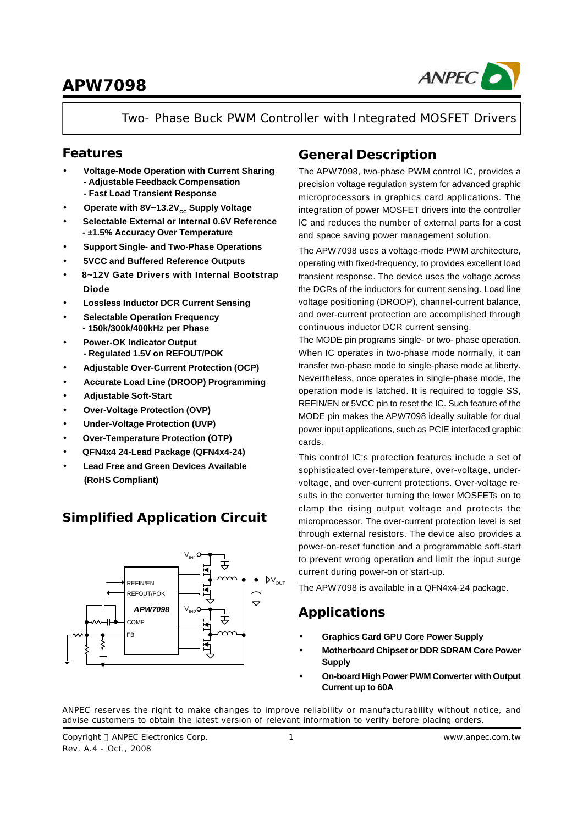

Two- Phase Buck PWM Controller with Integrated MOSFET Drivers

### **Features**

- **· Voltage-Mode Operation with Current Sharing - Adjustable Feedback Compensation - Fast Load Transient Response**
- Operate with 8V~13.2V<sub>cc</sub> Supply Voltage
- **· Selectable External or Internal 0.6V Reference - ±1.5% Accuracy Over Temperature**
- **· Support Single- and Two-Phase Operations**
- **· 5VCC and Buffered Reference Outputs**
- **· 8~12V Gate Drivers with Internal Bootstrap Diode**
- **· Lossless Inductor DCR Current Sensing**
- **· Selectable Operation Frequency - 150k/300k/400kHz per Phase**
- **· Power-OK Indicator Output - Regulated 1.5V on REFOUT/POK**
- **· Adjustable Over-Current Protection (OCP)**
- **· Accurate Load Line (DROOP) Programming**
- **· Adjustable Soft-Start**
- **· Over-Voltage Protection (OVP)**
- **· Under-Voltage Protection (UVP)**
- **· Over-Temperature Protection (OTP)**
- **· QFN4x4 24-Lead Package (QFN4x4-24)**
- **· Lead Free and Green Devices Available (RoHS Compliant)**

## **Simplified Application Circuit**



## **General Description**

The APW7098, two-phase PWM control IC, provides a precision voltage regulation system for advanced graphic microprocessors in graphics card applications. The integration of power MOSFET drivers into the controller IC and reduces the number of external parts for a cost and space saving power management solution.

The APW7098 uses a voltage-mode PWM architecture, operating with fixed-frequency, to provides excellent load transient response. The device uses the voltage across the DCRs of the inductors for current sensing. Load line voltage positioning (DROOP), channel-current balance, and over-current protection are accomplished through continuous inductor DCR current sensing.

The MODE pin programs single- or two- phase operation. When IC operates in two-phase mode normally, it can transfer two-phase mode to single-phase mode at liberty. Nevertheless, once operates in single-phase mode, the operation mode is latched. It is required to toggle SS, REFIN/EN or 5VCC pin to reset the IC. Such feature of the MODE pin makes the APW7098 ideally suitable for dual power input applications, such as PCIE interfaced graphic cards.

This control IC's protection features include a set of sophisticated over-temperature, over-voltage, undervoltage, and over-current protections. Over-voltage results in the converter turning the lower MOSFETs on to clamp the rising output voltage and protects the microprocessor. The over-current protection level is set through external resistors. The device also provides a power-on-reset function and a programmable soft-start to prevent wrong operation and limit the input surge current during power-on or start-up.

The APW7098 is available in a QFN4x4-24 package.

## **Applications**

- **· Graphics Card GPU Core Power Supply**
- **· Motherboard Chipset or DDR SDRAM Core Power Supply**
- **· On-board High Power PWM Converter with Output Current up to 60A**

ANPEC reserves the right to make changes to improve reliability or manufacturability without notice, and advise customers to obtain the latest version of relevant information to verify before placing orders.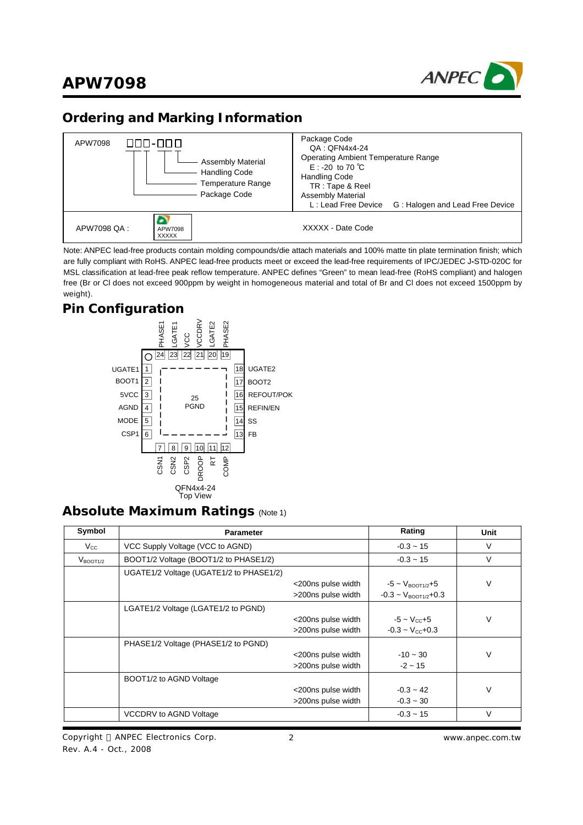

## **Ordering and Marking Information**



Note: ANPEC lead-free products contain molding compounds/die attach materials and 100% matte tin plate termination finish; which are fully compliant with RoHS. ANPEC lead-free products meet or exceed the lead-free requirements of IPC/JEDEC J**-**STD-020C for MSL classification at lead-free peak reflow temperature. ANPEC defines "Green" to mean lead-free (RoHS compliant) and halogen free (Br or Cl does not exceed 900ppm by weight in homogeneous material and total of Br and Cl does not exceed 1500ppm by weight).

### **Pin Configuration**



### **Absolute Maximum Ratings** (Note 1)

| Symbol               | <b>Parameter</b>                        |                    | Rating                               | Unit   |
|----------------------|-----------------------------------------|--------------------|--------------------------------------|--------|
| $V_{\rm CC}$         | VCC Supply Voltage (VCC to AGND)        |                    | $-0.3 - 15$                          | $\vee$ |
| $V_{\text{BOOT1}/2}$ | BOOT1/2 Voltage (BOOT1/2 to PHASE1/2)   |                    | $-0.3 - 15$                          | $\vee$ |
|                      | UGATE1/2 Voltage (UGATE1/2 to PHASE1/2) |                    |                                      |        |
|                      |                                         | <200ns pulse width | $-5 \sim V_{\text{ROOT1}/2} + 5$     | $\vee$ |
|                      |                                         | >200ns pulse width | $-0.3 \sim V_{\text{BOOT1}/2} + 0.3$ |        |
|                      | LGATE1/2 Voltage (LGATE1/2 to PGND)     |                    |                                      |        |
|                      |                                         | <200ns pulse width | $-5 \sim V_{\rm cc} + 5$             | $\vee$ |
|                      |                                         | >200ns pulse width | $-0.3 \sim V_{\text{CC}} + 0.3$      |        |
|                      | PHASE1/2 Voltage (PHASE1/2 to PGND)     |                    |                                      |        |
|                      |                                         | <200ns pulse width | $-10 - 30$                           |        |
|                      |                                         | >200ns pulse width | $-2 \sim 15$                         |        |
|                      | BOOT1/2 to AGND Voltage                 |                    |                                      |        |
|                      |                                         | <200ns pulse width | $-0.3 - 42$                          | $\vee$ |
|                      |                                         | >200ns pulse width | $-0.3 - 30$                          |        |
|                      | <b>VCCDRV to AGND Voltage</b>           |                    | $-0.3 - 15$                          | $\vee$ |

Copyright © ANPEC Electronics Corp. Rev. A.4 - Oct., 2008

2 *www.anpec.com.tw*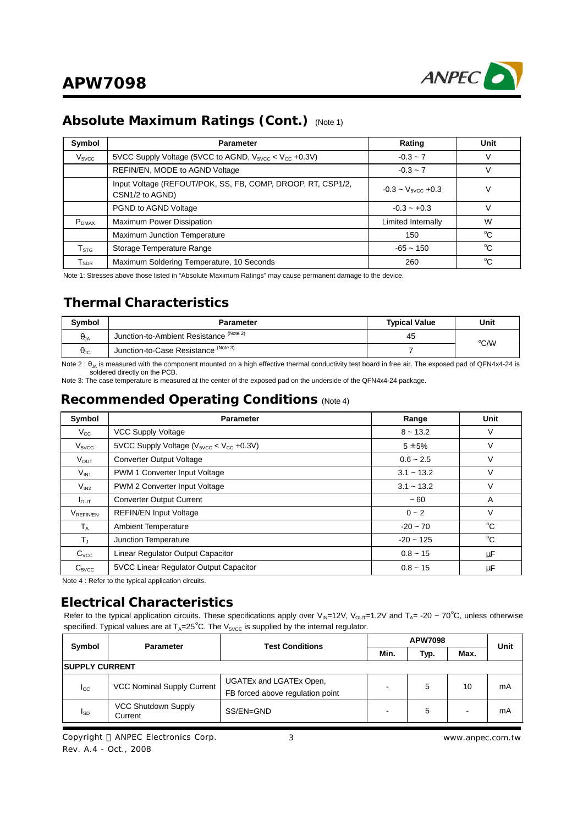

## **Absolute Maximum Ratings (Cont.)** (Note 1)

| Symbol                       | <b>Parameter</b>                                                               | Rating                         | Unit        |
|------------------------------|--------------------------------------------------------------------------------|--------------------------------|-------------|
| V <sub>5VCC</sub>            | 5VCC Supply Voltage (5VCC to AGND, $V_{\text{5VCC}} < V_{\text{CC}} + 0.3V$ )  | $-0.3 - 7$                     |             |
|                              | REFIN/EN, MODE to AGND Voltage                                                 | $-0.3 - 7$                     |             |
|                              | Input Voltage (REFOUT/POK, SS, FB, COMP, DROOP, RT, CSP1/2,<br>CSN1/2 to AGND) | $-0.3 - V_{\text{svcc}} + 0.3$ |             |
|                              | PGND to AGND Voltage                                                           | $-0.3 - +0.3$                  |             |
| $P_{DMAX}$                   | Maximum Power Dissipation                                                      | Limited Internally             | W           |
|                              | Maximum Junction Temperature                                                   | 150                            | °C          |
| $\mathsf{T}_{\texttt{STG}}$  | Storage Temperature Range                                                      | $-65 - 150$                    | $^{\circ}C$ |
| ${\mathsf T}_{\textsf{SDR}}$ | Maximum Soldering Temperature, 10 Seconds                                      | 260                            | °C          |

Note 1: Stresses above those listed in "Absolute Maximum Ratings" may cause permanent damage to the device.

## **Thermal Characteristics**

| Symbol               | <b>Parameter</b>                        | <b>Typical Value</b> | Unit |
|----------------------|-----------------------------------------|----------------------|------|
| $\theta_{JA}$        | Junction-to-Ambient Resistance (Note 2) | 45                   | °C/W |
| $\theta_{\text{JC}}$ | Junction-to-Case Resistance (Note 3)    |                      |      |

Note 2 : θ<sub>JA</sub> is measured with the component mounted on a high effective thermal conductivity test board in free air. The exposed pad of QFN4x4-24 is soldered directly on the PCB.

Note 3: The case temperature is measured at the center of the exposed pad on the underside of the QFN4x4-24 package.

### **Recommended Operating Conditions** (Note 4)

| Symbol                  | <b>Parameter</b>                            | Range         | Unit        |
|-------------------------|---------------------------------------------|---------------|-------------|
| $V_{\rm CC}$            | <b>VCC Supply Voltage</b>                   | $8 - 13.2$    | V           |
| V <sub>5VCC</sub>       | 5VCC Supply Voltage ( $Vsucc < Vcc +0.3V$ ) | $5 \pm 5%$    | V           |
| <b>V</b> <sub>OUT</sub> | <b>Converter Output Voltage</b>             | $0.6 - 2.5$   | V           |
| $\rm V_{IN1}$           | PWM 1 Converter Input Voltage               | $3.1 - 13.2$  | V           |
| $V_{IN2}$               | PWM 2 Converter Input Voltage               | $3.1 - 13.2$  | V           |
| $I_{\text{OUT}}$        | <b>Converter Output Current</b>             | $~1$ – 60     | A           |
| <b>VREFINEN</b>         | <b>REFIN/EN Input Voltage</b>               | $0 - 2$       | $\vee$      |
| $T_A$                   | <b>Ambient Temperature</b>                  | $-20 \sim 70$ | $^{\circ}C$ |
| $T_{\rm d}$             | Junction Temperature                        | $-20 - 125$   | $^{\circ}C$ |
| $C_{\text{VCC}}$        | Linear Regulator Output Capacitor           | $0.8 - 15$    | μF          |
| $C_{\text{SVCC}}$       | 5VCC Linear Regulator Output Capacitor      | $0.8 - 15$    | μF          |

Note 4 : Refer to the typical application circuits.

### **Electrical Characteristics**

Refer to the typical application circuits. These specifications apply over V<sub>IN</sub>=12V, V<sub>OUT</sub>=1.2V and T<sub>A</sub>= -20 ~ 70°C, unless otherwise specified. Typical values are at  $T_A=25^\circ$ C. The  $V_{5VCC}$  is supplied by the internal regulator.

| Symbol                 | <b>Parameter</b>                  | <b>Test Conditions</b>                                      |      | Unit |      |    |  |  |
|------------------------|-----------------------------------|-------------------------------------------------------------|------|------|------|----|--|--|
|                        |                                   |                                                             | Min. | Typ. | Max. |    |  |  |
| <b>ISUPPLY CURRENT</b> |                                   |                                                             |      |      |      |    |  |  |
| $I_{\rm CC}$           | <b>VCC Nominal Supply Current</b> | UGATEx and LGATEx Open,<br>FB forced above regulation point |      | 5    | 10   | mA |  |  |
| <b>I</b> <sub>SD</sub> | VCC Shutdown Supply<br>Current    | SS/EN=GND                                                   |      | 5    |      | mA |  |  |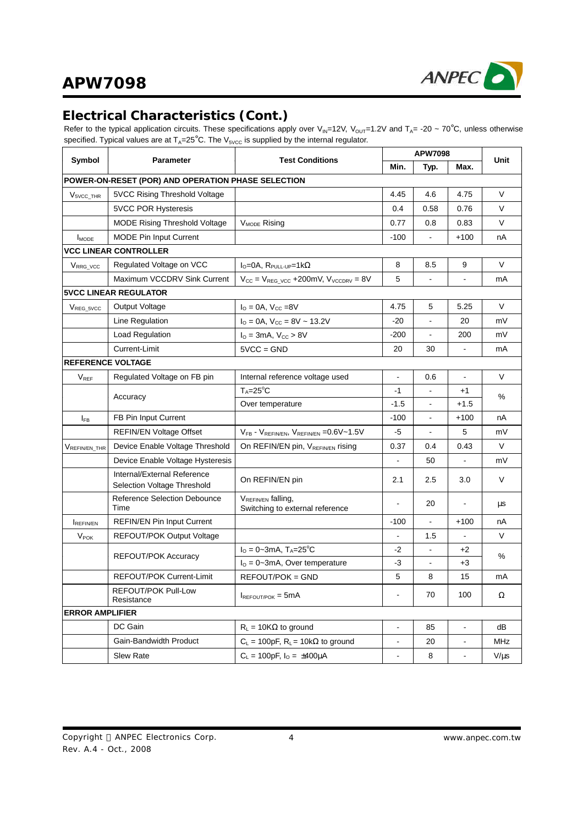

## **Electrical Characteristics (Cont.)**

Refer to the typical application circuits. These specifications apply over V<sub>IN</sub>=12V, V<sub>OUT</sub>=1.2V and T<sub>A</sub>= -20 ~ 70°C, unless otherwise specified. Typical values are at  $T_A=25^\circ$ C. The  $V_{5VCC}$  is supplied by the internal regulator.

|                          |                                                             |                                                           | <b>APW7098</b> |                |                |            |
|--------------------------|-------------------------------------------------------------|-----------------------------------------------------------|----------------|----------------|----------------|------------|
| Symbol                   | <b>Test Conditions</b><br><b>Parameter</b>                  |                                                           | Min.           | Typ.           | Max.           | Unit       |
|                          | POWER-ON-RESET (POR) AND OPERATION PHASE SELECTION          |                                                           |                |                |                |            |
| $V5VCC_THR$              | 5VCC Rising Threshold Voltage                               |                                                           | 4.45           | 4.6            | 4.75           | V          |
|                          | <b>5VCC POR Hysteresis</b>                                  |                                                           | 0.4            | 0.58           | 0.76           | V          |
|                          | <b>MODE Rising Threshold Voltage</b>                        | V <sub>MODE</sub> Rising                                  | 0.77           | 0.8            | 0.83           | V          |
| $I_{\text{MODE}}$        | <b>MODE Pin Input Current</b>                               |                                                           | $-100$         | $\blacksquare$ | $+100$         | nA         |
|                          | <b>VCC LINEAR CONTROLLER</b>                                |                                                           |                |                |                |            |
| V <sub>RRG_VCC</sub>     | Regulated Voltage on VCC                                    | $I_{Q} = 0A$ , $R_{PULL-UP} = 1k\Omega$                   | 8              | 8.5            | 9              | V          |
|                          | Maximum VCCDRV Sink Current                                 | $V_{CC} = V_{REG_VCC} + 200$ mV, $V_{VCCDRV} = 8V$        | 5              |                |                | mA         |
|                          | <b>5VCC LINEAR REGULATOR</b>                                |                                                           |                |                |                |            |
| V <sub>REG_5VCC</sub>    | Output Voltage                                              | $I_{\Omega} = 0A$ , $V_{\text{CC}} = 8V$                  | 4.75           | 5              | 5.25           | $\vee$     |
|                          | Line Regulation                                             | $I_{\text{O}} = 0A$ , $V_{\text{CC}} = 8V \sim 13.2V$     | $-20$          |                | 20             | mV         |
|                          | Load Regulation                                             | $I_{O} = 3mA$ , $V_{CC} > 8V$                             | -200           |                | 200            | mV         |
|                          | Current-Limit                                               | $5VCC = GND$                                              | 20             | 30             |                | mA         |
| <b>REFERENCE VOLTAGE</b> |                                                             |                                                           |                |                |                |            |
| $V_{REF}$                | Regulated Voltage on FB pin                                 | ä,                                                        | 0.6            | $\mathbf{r}$   | V              |            |
|                          |                                                             | $T_A = 25^{\circ}C$                                       | $-1$           |                | $+1$           |            |
|                          | Accuracy                                                    | Over temperature                                          | $-1.5$         | $\blacksquare$ | $+1.5$         | %          |
| $I_{FB}$                 | FB Pin Input Current                                        |                                                           | $-100$         |                | $+100$         | nA         |
|                          | <b>REFIN/EN Voltage Offset</b>                              | VFB - VREFINEN, VREFINEN = 0.6V~1.5V                      | -5             |                | 5              | mV         |
| VREFIN/EN_THR            | Device Enable Voltage Threshold                             | On REFIN/EN pin, VREFIN/EN rising                         | 0.37           | 0.4            | 0.43           | V          |
|                          | Device Enable Voltage Hysteresis                            |                                                           |                | 50             |                | mV         |
|                          | Internal/External Reference<br>Selection Voltage Threshold  | On REFIN/EN pin                                           | 2.1            | 2.5            | 3.0            | V          |
|                          | <b>Reference Selection Debounce</b><br>Time                 | VREFIN/EN falling,<br>Switching to external reference     |                | 20             |                | μs         |
| REFINEN                  | <b>REFIN/EN Pin Input Current</b>                           |                                                           | $-100$         | $\blacksquare$ | $+100$         | nА         |
| <b>V<sub>POK</sub></b>   | <b>REFOUT/POK Output Voltage</b>                            |                                                           |                | 1.5            |                | V          |
|                          | REFOUT/POK Accuracy                                         | $I_{\rm O} = 0 - 3$ mA, T <sub>A</sub> =25 <sup>°</sup> C | $-2$           |                | +2             | %          |
|                          |                                                             | $IO = 0-3mA$ , Over temperature                           | -3             | $\blacksquare$ | $+3$           |            |
|                          | <b>REFOUT/POK Current-Limit</b>                             | REFOUT/POK = GND                                          | 5              | 8              | 15             | mA         |
|                          | REFOUT/POK Pull-Low<br>$I_{REFOUT/POK} = 5mA$<br>Resistance |                                                           | $\blacksquare$ | 70             | 100            | Ω          |
| <b>ERROR AMPLIFIER</b>   |                                                             |                                                           |                |                |                |            |
|                          | DC Gain                                                     | $R_L = 10K\Omega$ to ground                               | $\frac{1}{2}$  | 85             | $\blacksquare$ | dB         |
|                          | Gain-Bandwidth Product                                      | $C_L = 100pF$ , $R_L = 10k\Omega$ to ground               |                | 20             |                | <b>MHz</b> |
|                          | Slew Rate                                                   | $C_L = 100pF$ , $I_O = \pm 400\mu A$                      |                |                |                | V/µs       |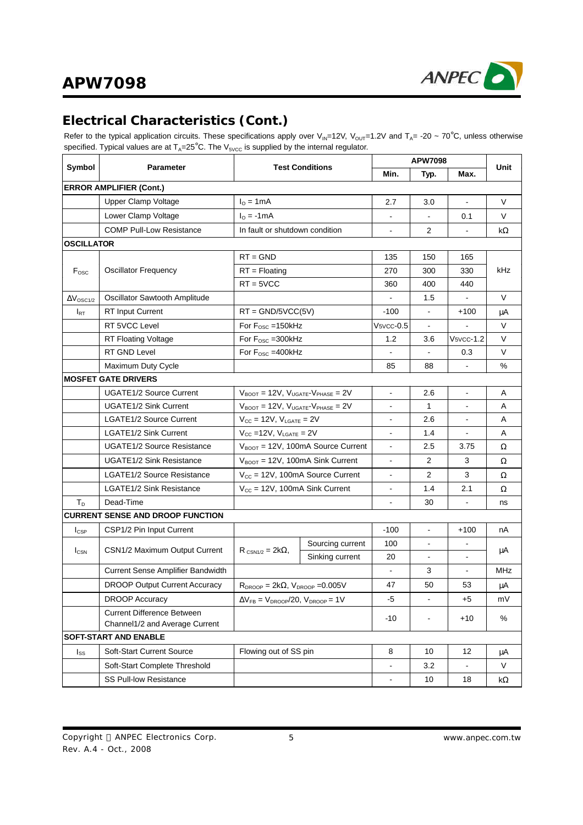

# **Electrical Characteristics (Cont.)**

Refer to the typical application circuits. These specifications apply over V<sub>IN</sub>=12V, V<sub>OUT</sub>=1.2V and T<sub>A</sub>= -20 ~ 70°C, unless otherwise specified. Typical values are at  $T_A=25^\circ$ C. The  $V_{5VCC}$  is supplied by the internal regulator.

|                         |                                         | <b>Test Conditions</b>                                               |                                                |                             | <b>APW7098</b>           |                             |           |  |
|-------------------------|-----------------------------------------|----------------------------------------------------------------------|------------------------------------------------|-----------------------------|--------------------------|-----------------------------|-----------|--|
| Symbol                  | <b>Parameter</b>                        |                                                                      |                                                | Min.                        | Typ.                     | Max.                        | Unit      |  |
|                         | <b>ERROR AMPLIFIER (Cont.)</b>          |                                                                      |                                                |                             |                          |                             |           |  |
|                         | Upper Clamp Voltage                     | $I0 = 1mA$                                                           |                                                | 2.7                         | 3.0                      |                             | V         |  |
|                         | Lower Clamp Voltage                     | $I0 = -1mA$                                                          |                                                | $\blacksquare$              | $\blacksquare$           | 0.1                         | V         |  |
|                         | <b>COMP Pull-Low Resistance</b>         | In fault or shutdown condition                                       |                                                |                             | $\overline{2}$           |                             | $k\Omega$ |  |
| OSCILLATOR              |                                         |                                                                      |                                                |                             |                          |                             |           |  |
|                         |                                         | $RT = GND$                                                           |                                                |                             | 150                      | 165                         |           |  |
| F <sub>osc</sub>        | <b>Oscillator Frequency</b>             | $RT = Floating$                                                      |                                                | 270                         | 300                      | 330                         | kHz       |  |
|                         |                                         | $RT = 5VCC$                                                          |                                                | 360                         | 400                      | 440                         |           |  |
| $\Delta V_{\rm OSC1/2}$ | Oscillator Sawtooth Amplitude           |                                                                      |                                                |                             | 1.5                      | $\blacksquare$              | V         |  |
| $I_{\sf RT}$            | <b>RT Input Current</b>                 | $RT = GND/5VCC(5V)$                                                  |                                                | $-100$                      | $\mathbf{r}$             | $+100$                      | μA        |  |
|                         | RT 5VCC Level                           | For $F_{\text{OSC}} = 150$ kHz                                       |                                                | $V$ <sub>5</sub> $V$ cc-0.5 |                          |                             | V         |  |
|                         | <b>RT Floating Voltage</b>              | For $F_{\text{OSC}} = 300$ kHz                                       |                                                | 1.2                         | 3.6                      | $V$ <sub>5</sub> $v$ cc-1.2 | V         |  |
|                         | RT GND Level                            | For F <sub>osc</sub> = 400kHz                                        |                                                |                             |                          | 0.3                         | V         |  |
|                         | Maximum Duty Cycle                      |                                                                      |                                                | 85                          | 88                       |                             | %         |  |
|                         | <b>MOSFET GATE DRIVERS</b>              |                                                                      |                                                |                             |                          |                             |           |  |
|                         | <b>UGATE1/2 Source Current</b>          | $V_{\text{BOOT}} = 12V$ , $V_{\text{UGATE}} - V_{\text{PHASE}} = 2V$ |                                                | $\blacksquare$              | 2.6                      | $\blacksquare$              | Α         |  |
|                         | <b>UGATE1/2 Sink Current</b>            | $V_{\text{BOOT}} = 12V$ , $V_{\text{UGATE}} - V_{\text{PHASE}} = 2V$ |                                                |                             | 1                        |                             | A         |  |
|                         | LGATE1/2 Source Current                 | $V_{CC}$ = 12V, $V_{LGATE}$ = 2V                                     |                                                |                             | 2.6                      |                             | A         |  |
|                         | <b>LGATE1/2 Sink Current</b>            | $V_{CC}$ =12V, $V_{LGATE}$ = 2V                                      |                                                | $\blacksquare$              | 1.4                      |                             | A         |  |
|                         | UGATE1/2 Source Resistance              |                                                                      | $V_{\text{BOOT}} = 12V$ , 100mA Source Current | $\sim$                      | 2.5                      | 3.75                        | Ω         |  |
|                         | <b>UGATE1/2 Sink Resistance</b>         |                                                                      | $V_{\text{BOOT}} = 12V$ , 100mA Sink Current   | $\blacksquare$              | 2                        | 3                           | Ω         |  |
|                         | <b>LGATE1/2 Source Resistance</b>       |                                                                      | $V_{\text{CC}}$ = 12V, 100mA Source Current    | $\blacksquare$              | $\overline{2}$           | 3                           | Ω         |  |
|                         | <b>LGATE1/2 Sink Resistance</b>         | $V_{\text{CC}}$ = 12V, 100mA Sink Current                            |                                                |                             | 1.4                      | 2.1                         | Ω         |  |
| Т <sub>р</sub>          | Dead-Time                               |                                                                      |                                                |                             | 30                       |                             | ns        |  |
|                         | <b>CURRENT SENSE AND DROOP FUNCTION</b> |                                                                      |                                                |                             |                          |                             |           |  |
| $I_{CSP}$               | CSP1/2 Pin Input Current                |                                                                      |                                                | $-100$                      | $\overline{\phantom{a}}$ | $+100$                      | nA        |  |
|                         |                                         |                                                                      | Sourcing current                               | 100                         |                          |                             |           |  |
| $I_{\text{CSN}}$        | CSN1/2 Maximum Output Current           | $R_{CSN1/2} = 2k\Omega$                                              | Sinking current                                | 20                          | $\blacksquare$           | $\sim$                      | μA        |  |
|                         | Current Sense Amplifier Bandwidth       |                                                                      |                                                |                             | 3                        |                             | MHz       |  |
|                         | <b>DROOP Output Current Accuracy</b>    | $R_{DROOP} = 2k\Omega$ , $V_{DROOP} = 0.005V$                        |                                                | 47                          | 50                       | 53                          | μA        |  |
|                         | <b>DROOP Accuracy</b>                   | $\Delta V_{FB} = V_{DROOP}/20$ , $V_{DROOP} = 1V$                    |                                                | -5                          | $\blacksquare$           | +5                          | mV        |  |
|                         | <b>Current Difference Between</b>       |                                                                      |                                                |                             |                          |                             |           |  |
|                         | Channel1/2 and Average Current          |                                                                      |                                                | -10                         | $\blacksquare$           | $+10$                       | %         |  |
|                         | SOFT-START AND ENABLE                   |                                                                      |                                                |                             |                          |                             |           |  |
| Iss                     | Soft-Start Current Source               | Flowing out of SS pin                                                |                                                | 8                           | 10                       | 12                          | μA        |  |
|                         | Soft-Start Complete Threshold           |                                                                      |                                                |                             | 3.2                      |                             | V         |  |
|                         | SS Pull-low Resistance                  |                                                                      |                                                | $\blacksquare$              | 10                       | 18                          | $k\Omega$ |  |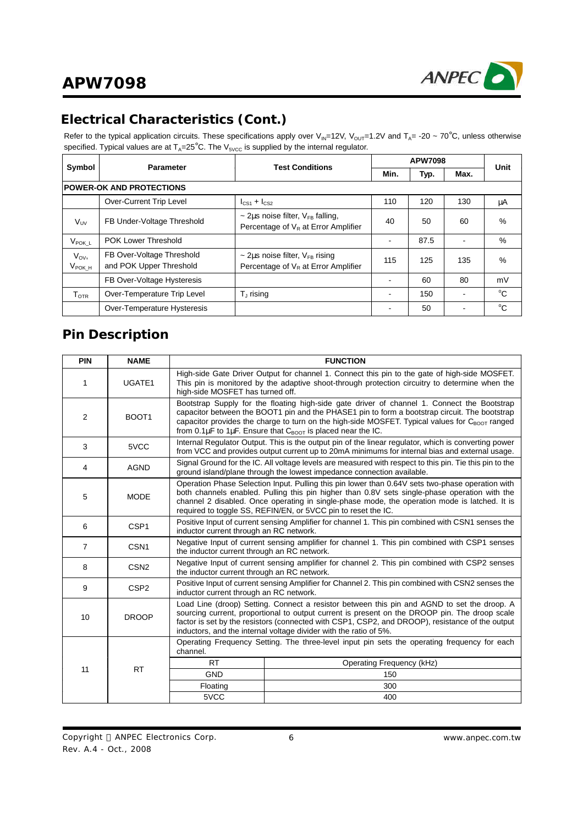

# **Electrical Characteristics (Cont.)**

Refer to the typical application circuits. These specifications apply over V<sub>IN</sub>=12V, V<sub>OUT</sub>=1.2V and T<sub>A</sub>= -20 ~ 70°C, unless otherwise specified. Typical values are at  $T_A=25^\circ$ C. The  $V_{5VCC}$  is supplied by the internal regulator.

| Symbol                          |                                                      |                                                                                           |      | Unit |                |              |
|---------------------------------|------------------------------------------------------|-------------------------------------------------------------------------------------------|------|------|----------------|--------------|
|                                 | <b>Test Conditions</b><br><b>Parameter</b>           |                                                                                           | Min. | Typ. | Max.           |              |
| <b>POWER-OK AND PROTECTIONS</b> |                                                      |                                                                                           |      |      |                |              |
|                                 | Over-Current Trip Level                              | $I_{CS1} + I_{CS2}$                                                                       | 110  | 120  | 130            | μA           |
| $V_{UV}$                        | FB Under-Voltage Threshold                           | $\sim$ 2µs noise filter, $V_{FB}$ falling,<br>Percentage of $V_R$ at Error Amplifier      | 40   | 50   | 60             | $\%$         |
| V <sub>POK L</sub>              | <b>POK Lower Threshold</b>                           |                                                                                           |      | 87.5 | $\blacksquare$ | %            |
| $V_{OV}$<br>V <sub>рокн</sub>   | FB Over-Voltage Threshold<br>and POK Upper Threshold | $\sim$ 2µs noise filter, V <sub>FB</sub> rising<br>Percentage of $V_R$ at Error Amplifier | 115  | 125  | 135            | $\%$         |
|                                 | FB Over-Voltage Hysteresis                           |                                                                                           |      | 60   | 80             | mV           |
| T <sub>OTR</sub>                | Over-Temperature Trip Level                          | $T_{\perp}$ rising                                                                        |      | 150  |                | $^{\circ}$ C |
|                                 | Over-Temperature Hysteresis                          |                                                                                           |      | 50   | -              | $^{\circ}C$  |

## **Pin Description**

| PIN            | <b>NAME</b>       |                                                                                                                                              | <b>FUNCTION</b>                                                                                                                                                                                                                                                                                                                                                                                   |  |  |  |
|----------------|-------------------|----------------------------------------------------------------------------------------------------------------------------------------------|---------------------------------------------------------------------------------------------------------------------------------------------------------------------------------------------------------------------------------------------------------------------------------------------------------------------------------------------------------------------------------------------------|--|--|--|
| 1              | UGATE1            | high-side MOSFET has turned off.                                                                                                             | High-side Gate Driver Output for channel 1. Connect this pin to the gate of high-side MOSFET.<br>This pin is monitored by the adaptive shoot-through protection circuitry to determine when the                                                                                                                                                                                                   |  |  |  |
| 2              | BOOT <sub>1</sub> |                                                                                                                                              | Bootstrap Supply for the floating high-side gate driver of channel 1. Connect the Bootstrap<br>capacitor between the BOOT1 pin and the PHASE1 pin to form a bootstrap circuit. The bootstrap<br>capacitor provides the charge to turn on the high-side MOSFET. Typical values for $C_{\text{BOOT}}$ ranged<br>from 0.1 $\mu$ F to 1 $\mu$ F. Ensure that $C_{\text{BOOT}}$ is placed near the IC. |  |  |  |
| 3              | 5VCC              |                                                                                                                                              | Internal Regulator Output. This is the output pin of the linear regulator, which is converting power<br>from VCC and provides output current up to 20mA minimums for internal bias and external usage.                                                                                                                                                                                            |  |  |  |
| 4              | <b>AGND</b>       |                                                                                                                                              | Signal Ground for the IC. All voltage levels are measured with respect to this pin. Tie this pin to the<br>ground island/plane through the lowest impedance connection available.                                                                                                                                                                                                                 |  |  |  |
| 5              | <b>MODE</b>       |                                                                                                                                              | Operation Phase Selection Input. Pulling this pin lower than 0.64V sets two-phase operation with<br>both channels enabled. Pulling this pin higher than 0.8V sets single-phase operation with the<br>channel 2 disabled. Once operating in single-phase mode, the operation mode is latched. It is<br>required to toggle SS, REFIN/EN, or 5VCC pin to reset the IC.                               |  |  |  |
| 6              | CSP <sub>1</sub>  | Positive Input of current sensing Amplifier for channel 1. This pin combined with CSN1 senses the<br>inductor current through an RC network. |                                                                                                                                                                                                                                                                                                                                                                                                   |  |  |  |
| $\overline{7}$ | CSN <sub>1</sub>  | Negative Input of current sensing amplifier for channel 1. This pin combined with CSP1 senses<br>the inductor current through an RC network. |                                                                                                                                                                                                                                                                                                                                                                                                   |  |  |  |
| 8              | CSN <sub>2</sub>  | the inductor current through an RC network.                                                                                                  | Negative Input of current sensing amplifier for channel 2. This pin combined with CSP2 senses                                                                                                                                                                                                                                                                                                     |  |  |  |
| 9              | CSP <sub>2</sub>  | inductor current through an RC network.                                                                                                      | Positive Input of current sensing Amplifier for Channel 2. This pin combined with CSN2 senses the                                                                                                                                                                                                                                                                                                 |  |  |  |
| 10             | <b>DROOP</b>      |                                                                                                                                              | Load Line (droop) Setting. Connect a resistor between this pin and AGND to set the droop. A<br>sourcing current, proportional to output current is present on the DROOP pin. The droop scale<br>factor is set by the resistors (connected with CSP1, CSP2, and DROOP), resistance of the output<br>inductors, and the internal voltage divider with the ratio of 5%.                              |  |  |  |
|                |                   | channel.                                                                                                                                     | Operating Frequency Setting. The three-level input pin sets the operating frequency for each                                                                                                                                                                                                                                                                                                      |  |  |  |
|                |                   | <b>RT</b>                                                                                                                                    | Operating Frequency (kHz)                                                                                                                                                                                                                                                                                                                                                                         |  |  |  |
| 11             | <b>RT</b>         | <b>GND</b>                                                                                                                                   | 150                                                                                                                                                                                                                                                                                                                                                                                               |  |  |  |
|                |                   | Floating                                                                                                                                     | 300                                                                                                                                                                                                                                                                                                                                                                                               |  |  |  |
|                |                   | 5VCC                                                                                                                                         | 400                                                                                                                                                                                                                                                                                                                                                                                               |  |  |  |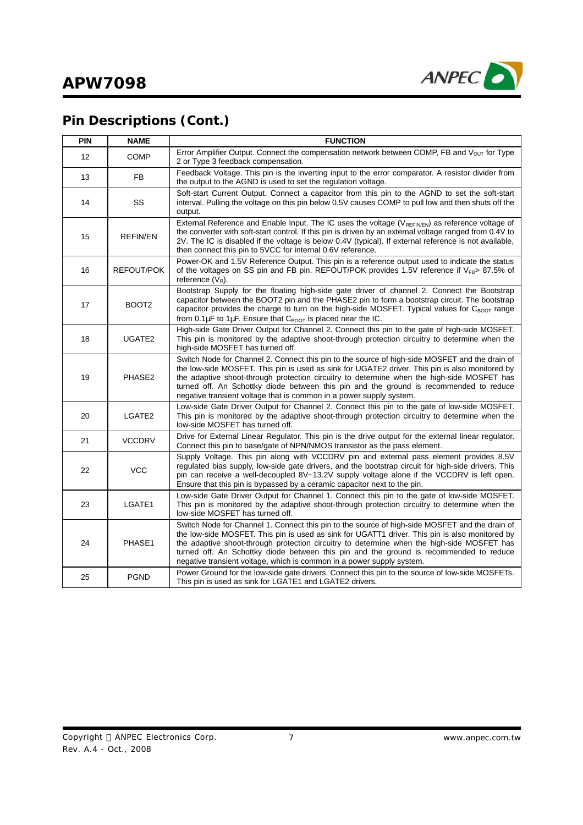

# **Pin Descriptions (Cont.)**

| <b>PIN</b> | <b>NAME</b>       | <b>FUNCTION</b>                                                                                                                                                                                                                                                                                                                                                                                                                                                   |
|------------|-------------------|-------------------------------------------------------------------------------------------------------------------------------------------------------------------------------------------------------------------------------------------------------------------------------------------------------------------------------------------------------------------------------------------------------------------------------------------------------------------|
| 12         | <b>COMP</b>       | Error Amplifier Output. Connect the compensation network between COMP, FB and $V_{OUT}$ for Type<br>2 or Type 3 feedback compensation.                                                                                                                                                                                                                                                                                                                            |
| 13         | FB                | Feedback Voltage. This pin is the inverting input to the error comparator. A resistor divider from<br>the output to the AGND is used to set the regulation voltage.                                                                                                                                                                                                                                                                                               |
| 14         | SS                | Soft-start Current Output. Connect a capacitor from this pin to the AGND to set the soft-start<br>interval. Pulling the voltage on this pin below 0.5V causes COMP to pull low and then shuts off the<br>output.                                                                                                                                                                                                                                                  |
| 15         | <b>REFIN/EN</b>   | External Reference and Enable Input. The IC uses the voltage (V <sub>REFINEN</sub> ) as reference voltage of<br>the converter with soft-start control. If this pin is driven by an external voltage ranged from 0.4V to<br>2V. The IC is disabled if the voltage is below 0.4V (typical). If external reference is not available,<br>then connect this pin to 5VCC for internal 0.6V reference.                                                                   |
| 16         | REFOUT/POK        | Power-OK and 1.5V Reference Output. This pin is a reference output used to indicate the status<br>of the voltages on SS pin and FB pin. REFOUT/POK provides 1.5V reference if VFB> 87.5% of<br>reference $(V_R)$ .                                                                                                                                                                                                                                                |
| 17         | BOOT <sub>2</sub> | Bootstrap Supply for the floating high-side gate driver of channel 2. Connect the Bootstrap<br>capacitor between the BOOT2 pin and the PHASE2 pin to form a bootstrap circuit. The bootstrap<br>capacitor provides the charge to turn on the high-side MOSFET. Typical values for $C_{\text{BOOT}}$ range<br>from 0.1 $\mu$ F to 1 $\mu$ F. Ensure that $C_{\text{BOOT}}$ is placed near the IC.                                                                  |
| 18         | UGATE2            | High-side Gate Driver Output for Channel 2. Connect this pin to the gate of high-side MOSFET.<br>This pin is monitored by the adaptive shoot-through protection circuitry to determine when the<br>high-side MOSFET has turned off.                                                                                                                                                                                                                               |
| 19         | PHASE2            | Switch Node for Channel 2. Connect this pin to the source of high-side MOSFET and the drain of<br>the low-side MOSFET. This pin is used as sink for UGATE2 driver. This pin is also monitored by<br>the adaptive shoot-through protection circuitry to determine when the high-side MOSFET has<br>turned off. An Schottky diode between this pin and the ground is recommended to reduce<br>negative transient voltage that is common in a power supply system.   |
| 20         | LGATE2            | Low-side Gate Driver Output for Channel 2. Connect this pin to the gate of low-side MOSFET.<br>This pin is monitored by the adaptive shoot-through protection circuitry to determine when the<br>low-side MOSFET has turned off.                                                                                                                                                                                                                                  |
| 21         | <b>VCCDRV</b>     | Drive for External Linear Regulator. This pin is the drive output for the external linear regulator.<br>Connect this pin to base/gate of NPN/NMOS transistor as the pass element.                                                                                                                                                                                                                                                                                 |
| 22         | <b>VCC</b>        | Supply Voltage. This pin along with VCCDRV pin and external pass element provides 8.5V<br>regulated bias supply, low-side gate drivers, and the bootstrap circuit for high-side drivers. This<br>pin can receive a well-decoupled 8V~13.2V supply voltage alone if the VCCDRV is left open.<br>Ensure that this pin is bypassed by a ceramic capacitor next to the pin.                                                                                           |
| 23         | LGATE1            | Low-side Gate Driver Output for Channel 1. Connect this pin to the gate of low-side MOSFET.<br>This pin is monitored by the adaptive shoot-through protection circuitry to determine when the<br>low-side MOSFET has turned off.                                                                                                                                                                                                                                  |
| 24         | PHASE1            | Switch Node for Channel 1. Connect this pin to the source of high-side MOSFET and the drain of<br>the low-side MOSFET. This pin is used as sink for UGATT1 driver. This pin is also monitored by<br>the adaptive shoot-through protection circuitry to determine when the high-side MOSFET has<br>turned off. An Schottky diode between this pin and the ground is recommended to reduce<br>negative transient voltage, which is common in a power supply system. |
| 25         | <b>PGND</b>       | Power Ground for the low-side gate drivers. Connect this pin to the source of low-side MOSFETs.<br>This pin is used as sink for LGATE1 and LGATE2 drivers.                                                                                                                                                                                                                                                                                                        |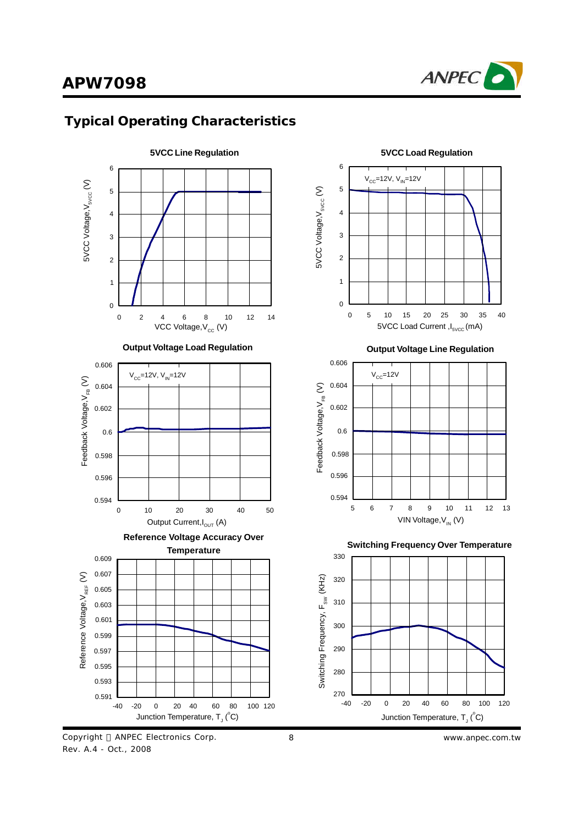

## **Typical Operating Characteristics**



Copyright © ANPEC Electronics Corp. Rev. A.4 - Oct., 2008



**Output Voltage Line Regulation**



**Switching Frequency Over Temperature**



8 *www.anpec.com.tw*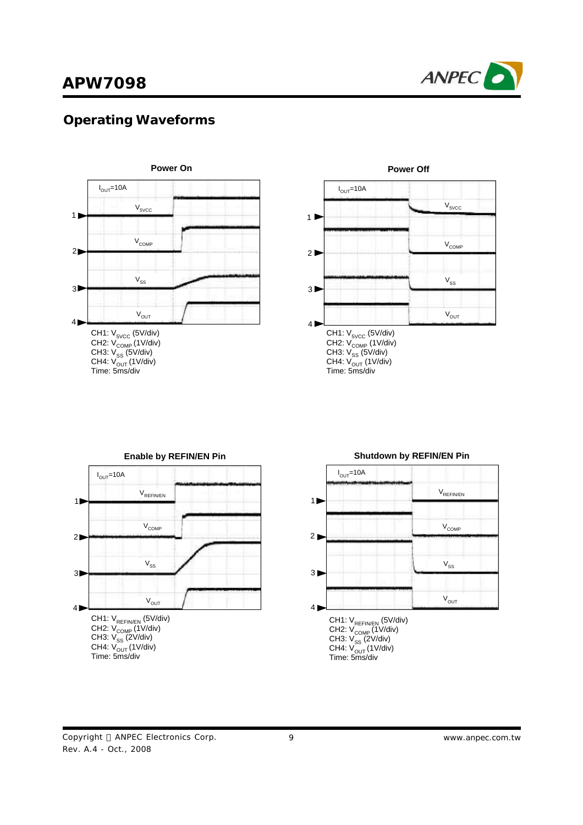

# **Operating Waveforms**



CH4: V<sub>OUT</sub> (1V/div) Time: 5ms/div



### CH1: V<sub>REFIN/EN</sub> (5V/div) CH2: V<sub>COMP</sub> (1V/div) CH3: V<sub>SS</sub> (2V/div) CH4: V<sub>OUT</sub> (1V/div)<br>Time: 5ms/div **Enable by REFIN/EN Pin**  $I_{OUT}$ =10A 1  $2D$ 3 4 V<sub>REFIN/EN</sub>  $V^{\text{COMP}}$  $V_{SS}$  $V_{OUT}$



# **Shutdown by REFIN/EN Pin**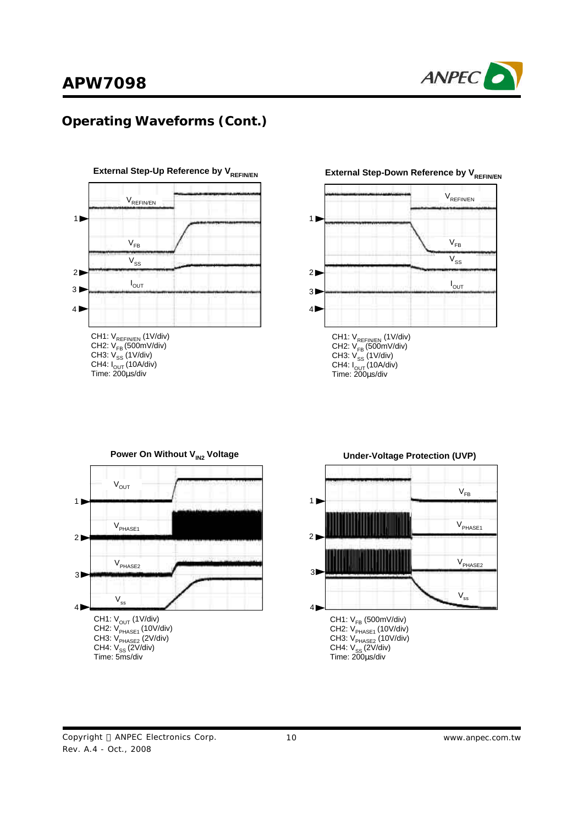

## **Operating Waveforms (Cont.)**



CH3: V<sub>ss</sub> (1V/div) CH4: I<sub>OUT</sub> (10A/div)<br>Time: 200μs/div







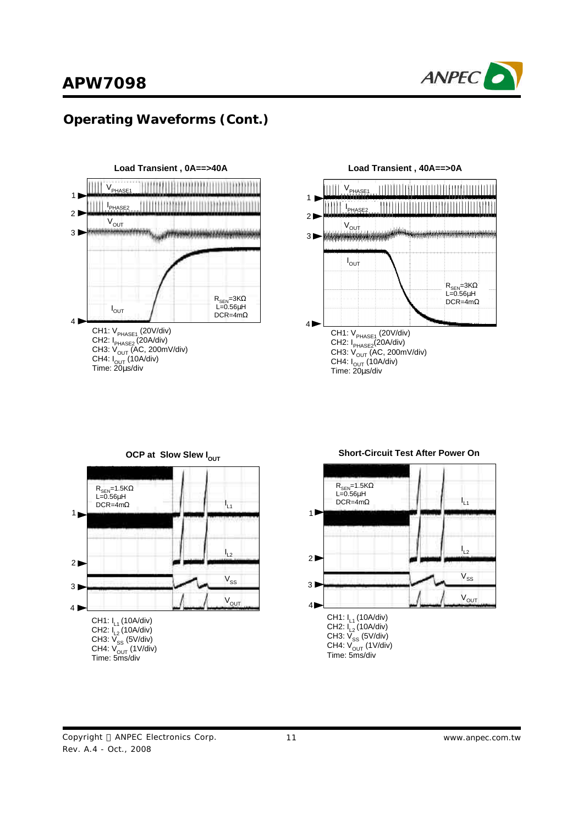

## **Operating Waveforms (Cont.)**



CH3: V<sub>OUT</sub> (AC, 200mV/div) CH4: I<sub>OUT</sub> (10A/div)<br>Time: 20μs/div







#### **Short-Circuit Test After Power On**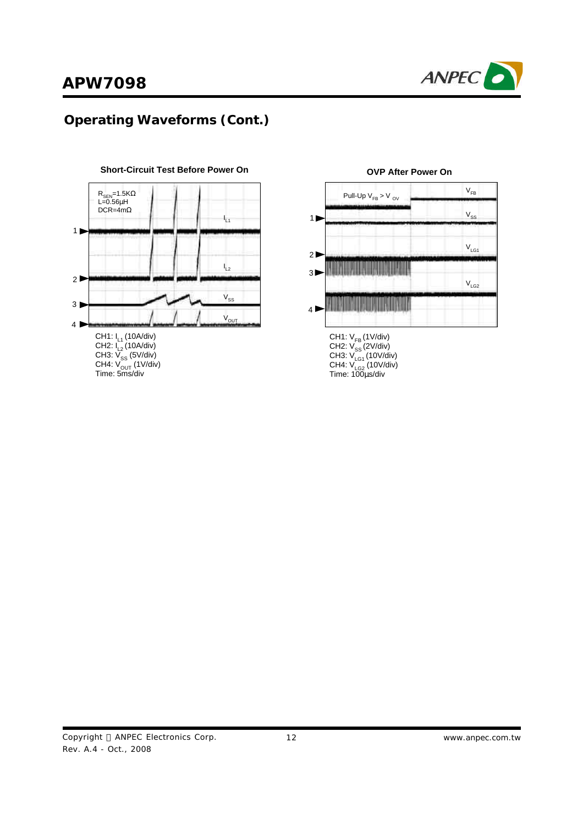

## **Operating Waveforms (Cont.)**







#### **OVP After Power On**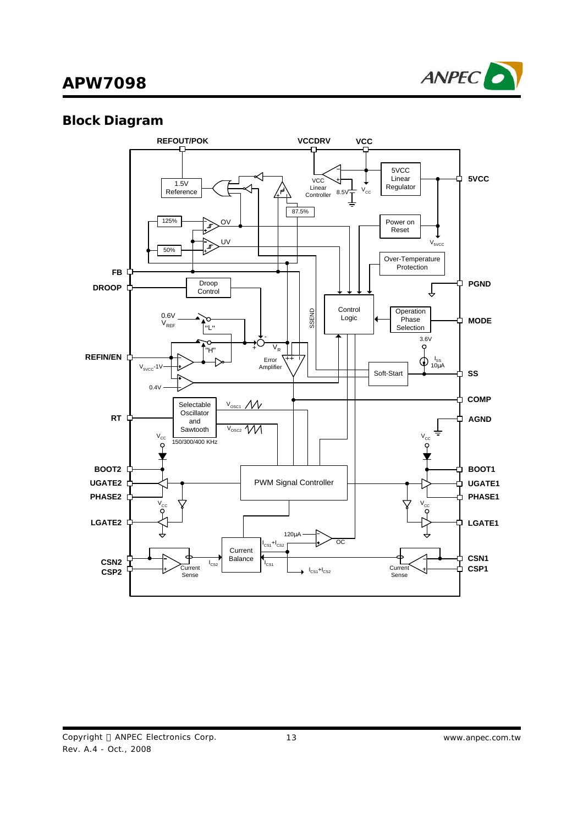

## **Block Diagram**

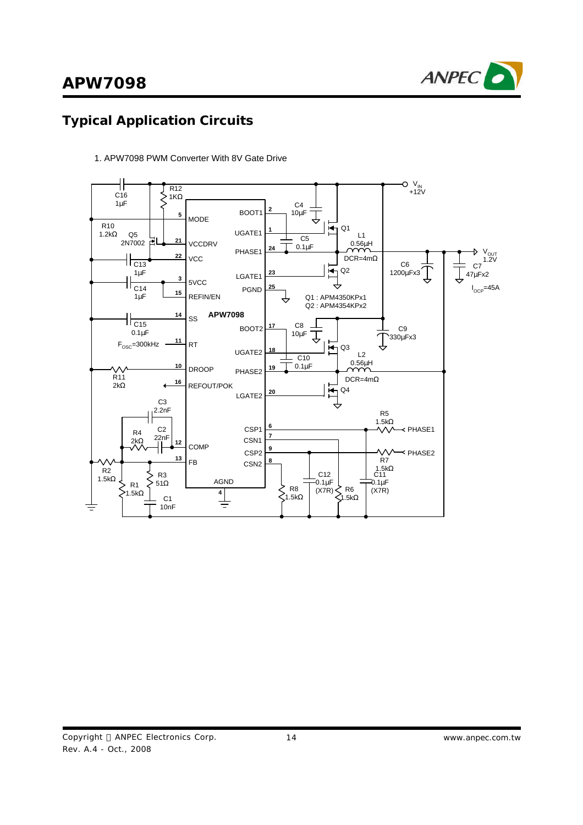

## **Typical Application Circuits**



1. APW7098 PWM Converter With 8V Gate Drive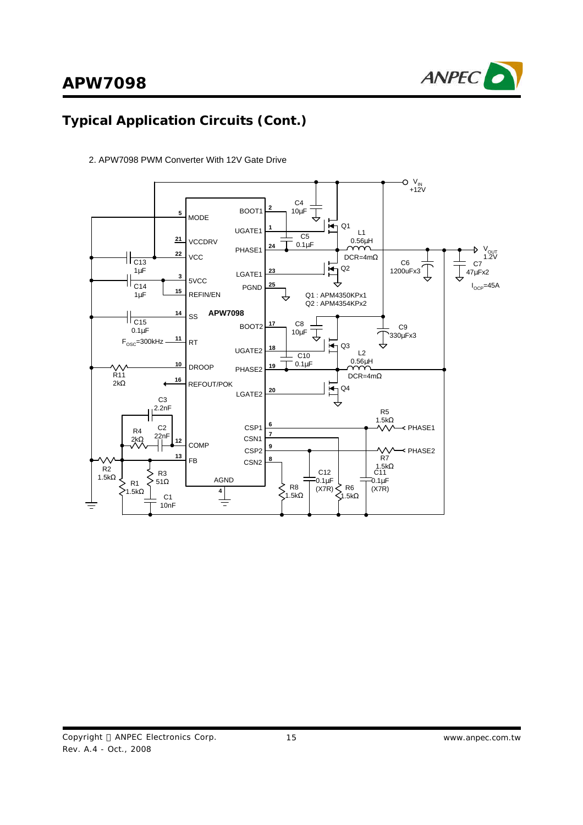

# **Typical Application Circuits (Cont.)**



2. APW7098 PWM Converter With 12V Gate Drive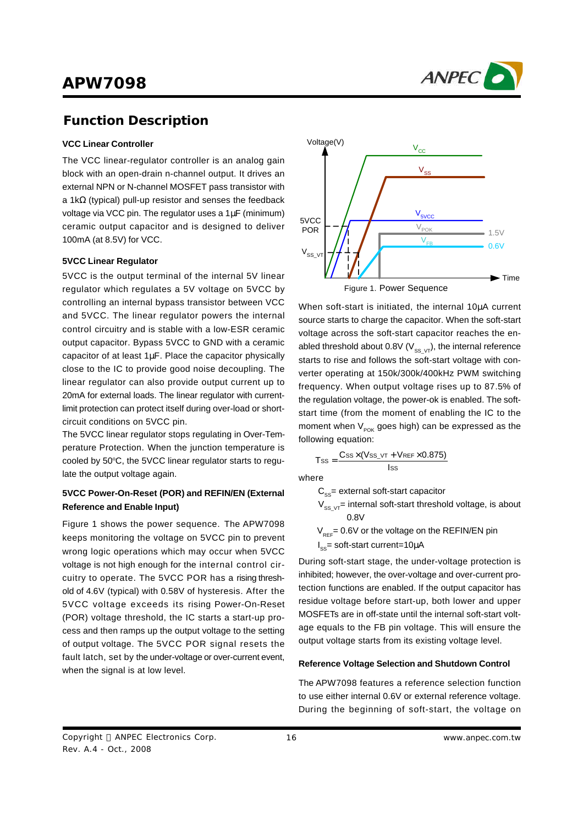

### **Function Description**

#### **VCC Linear Controller**

The VCC linear-regulator controller is an analog gain block with an open-drain n-channel output. It drives an external NPN or N-channel MOSFET pass transistor with a 1kΩ (typical) pull-up resistor and senses the feedback voltage via VCC pin. The regulator uses a 1μF (minimum) ceramic output capacitor and is designed to deliver 100mA (at 8.5V) for VCC.

#### **5VCC Linear Regulator**

5VCC is the output terminal of the internal 5V linear regulator which regulates a 5V voltage on 5VCC by controlling an internal bypass transistor between VCC and 5VCC. The linear regulator powers the internal control circuitry and is stable with a low-ESR ceramic output capacitor. Bypass 5VCC to GND with a ceramic capacitor of at least 1μF. Place the capacitor physically close to the IC to provide good noise decoupling. The linear regulator can also provide output current up to 20mA for external loads. The linear regulator with currentlimit protection can protect itself during over-load or shortcircuit conditions on 5VCC pin.

The 5VCC linear regulator stops regulating in Over-Temperature Protection. When the junction temperature is cooled by 50°C, the 5VCC linear regulator starts to regulate the output voltage again.

#### **5VCC Power-On-Reset (POR) and REFIN/EN (External Reference and Enable Input)**

Figure 1 shows the power sequence. The APW7098 keeps monitoring the voltage on 5VCC pin to prevent wrong logic operations which may occur when 5VCC voltage is not high enough for the internal control circuitry to operate. The 5VCC POR has a rising threshold of 4.6V (typical) with 0.58V of hysteresis. After the 5VCC voltage exceeds its rising Power-On-Reset (POR) voltage threshold, the IC starts a start-up process and then ramps up the output voltage to the setting of output voltage. The 5VCC POR signal resets the fault latch, set by the under-voltage or over-current event, when the signal is at low level.



When soft-start is initiated, the internal 10μA current source starts to charge the capacitor. When the soft-start voltage across the soft-start capacitor reaches the enabled threshold about 0.8V ( $V_{SS\ V}$ ), the internal reference starts to rise and follows the soft-start voltage with converter operating at 150k/300k/400kHz PWM switching frequency. When output voltage rises up to 87.5% of the regulation voltage, the power-ok is enabled. The softstart time (from the moment of enabling the IC to the moment when  $V_{POK}$  goes high) can be expressed as the following equation:

$$
T_{SS} = \frac{C_{SS} \times (V_{SS\_VT} + V_{REF} \times 0.875)}{I_{SS}}
$$

where

 $C_{\rm sc}$ = external soft-start capacitor

- $V_{SS, VT}$ = internal soft-start threshold voltage, is about 0.8V
- $V_{\text{per}}$ = 0.6V or the voltage on the REFIN/EN pin
- $I_{\text{ss}}$ = soft-start current=10 $\mu$ A

During soft-start stage, the under-voltage protection is inhibited; however, the over-voltage and over-current protection functions are enabled. If the output capacitor has residue voltage before start-up, both lower and upper MOSFETs are in off-state until the internal soft-start voltage equals to the FB pin voltage. This will ensure the output voltage starts from its existing voltage level.

#### **Reference Voltage Selection and Shutdown Control**

The APW7098 features a reference selection function to use either internal 0.6V or external reference voltage. During the beginning of soft-start, the voltage on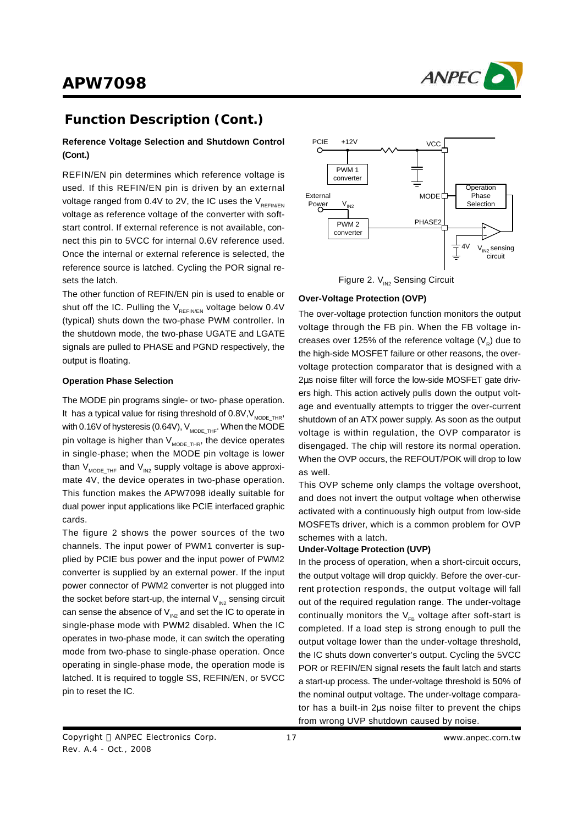

## **Function Description (Cont.)**

#### **Reference Voltage Selection and Shutdown Control (Cont.)**

REFIN/EN pin determines which reference voltage is used. If this REFIN/EN pin is driven by an external voltage ranged from 0.4V to 2V, the IC uses the  $V_{\text{perin/EM}}$ voltage as reference voltage of the converter with softstart control. If external reference is not available, connect this pin to 5VCC for internal 0.6V reference used. Once the internal or external reference is selected, the reference source is latched. Cycling the POR signal resets the latch.

The other function of REFIN/EN pin is used to enable or shut off the IC. Pulling the  $V_{RFEN/EN}$  voltage below 0.4V (typical) shuts down the two-phase PWM controller. In the shutdown mode, the two-phase UGATE and LGATE signals are pulled to PHASE and PGND respectively, the output is floating.

#### **Operation Phase Selection**

The MODE pin programs single- or two- phase operation. It has a typical value for rising threshold of  $0.8V$ ,  $V_{MODETHR}$ , with 0.16V of hysteresis (0.64V),  $V_{MODE,THF}$ . When the MODE pin voltage is higher than  $V_{MODE,THR}$ , the device operates in single-phase; when the MODE pin voltage is lower than  $V_{MODE,THF}$  and  $V_{M2}$  supply voltage is above approximate 4V, the device operates in two-phase operation. This function makes the APW7098 ideally suitable for dual power input applications like PCIE interfaced graphic cards.

The figure 2 shows the power sources of the two channels. The input power of PWM1 converter is supplied by PCIE bus power and the input power of PWM2 converter is supplied by an external power. If the input power connector of PWM2 converter is not plugged into the socket before start-up, the internal  $V_{N2}$  sensing circuit can sense the absence of  $V_{\text{N2}}$  and set the IC to operate in single-phase mode with PWM2 disabled. When the IC operates in two-phase mode, it can switch the operating mode from two-phase to single-phase operation. Once operating in single-phase mode, the operation mode is latched. It is required to toggle SS, REFIN/EN, or 5VCC pin to reset the IC.



Figure 2.  $V_{IN2}$  Sensing Circuit

#### **Over-Voltage Protection (OVP)**

The over-voltage protection function monitors the output voltage through the FB pin. When the FB voltage increases over 125% of the reference voltage (V<sub>R</sub>) due to the high-side MOSFET failure or other reasons, the overvoltage protection comparator that is designed with a 2μs noise filter will force the low-side MOSFET gate drivers high. This action actively pulls down the output voltage and eventually attempts to trigger the over-current shutdown of an ATX power supply. As soon as the output voltage is within regulation, the OVP comparator is disengaged. The chip will restore its normal operation. When the OVP occurs, the REFOUT/POK will drop to low as well.

This OVP scheme only clamps the voltage overshoot, and does not invert the output voltage when otherwise activated with a continuously high output from low-side MOSFETs driver, which is a common problem for OVP schemes with a latch.

#### **Under-Voltage Protection (UVP)**

In the process of operation, when a short-circuit occurs, the output voltage will drop quickly. Before the over-current protection responds, the output voltage will fall out of the required regulation range. The under-voltage continually monitors the  $V_{FB}$  voltage after soft-start is completed. If a load step is strong enough to pull the output voltage lower than the under-voltage threshold, the IC shuts down converter's output. Cycling the 5VCC POR or REFIN/EN signal resets the fault latch and starts a start-up process. The under-voltage threshold is 50% of the nominal output voltage. The under-voltage comparator has a built-in 2μs noise filter to prevent the chips from wrong UVP shutdown caused by noise.

Copyright © ANPEC Electronics Corp. Rev. A.4 - Oct., 2008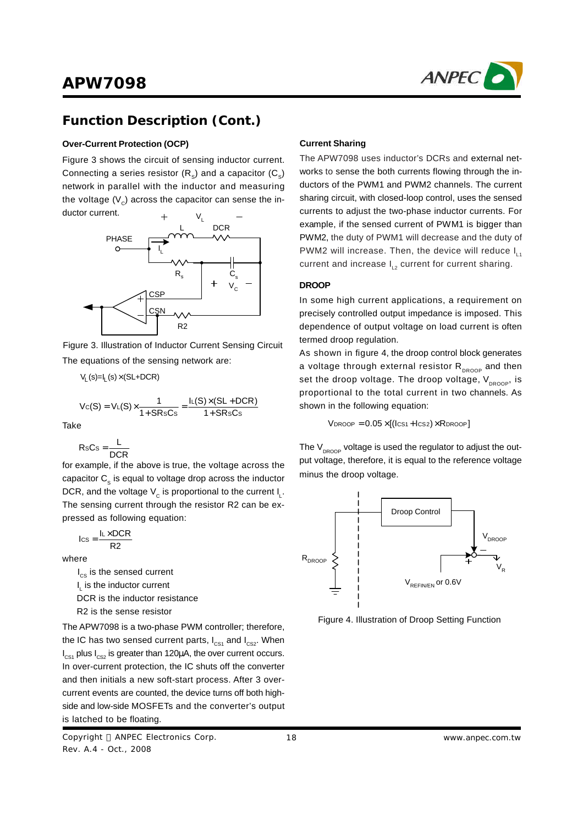

### **Function Description (Cont.)**

#### **Over-Current Protection (OCP)**

Figure 3 shows the circuit of sensing inductor current. Connecting a series resistor (R<sub>s</sub>) and a capacitor (C<sub>s</sub>) network in parallel with the inductor and measuring the voltage (V $_{\rm c}$ ) across the capacitor can sense the in-



Figure 3. Illustration of Inductor Current Sensing Circuit The equations of the sensing network are:

 $V_1$  (s)= $I_1$  (s)  $\times$  (SL+DCR)

$$
V_C(S) = V_L(S) \times \frac{1}{1+S R s C s} = \frac{I_L(S) \times (SL + DCR)}{1+S R s C s}
$$

**Take** 

$$
RsCs = \frac{L}{DCR}
$$

for example, if the above is true, the voltage across the capacitor  $\mathtt{C}_\text{s}$  is equal to voltage drop across the inductor DCR, and the voltage  $\mathsf{V}_{_{\mathbb{C}}}$  is proportional to the current  $\mathsf{I}_{_{\mathbb{L}}}$ . The sensing current through the resistor R2 can be expressed as following equation:

$$
I_{CS} = \frac{I_L \times DCR}{R2}
$$

where

 $I_{cs}$  is the sensed current  $I_{\text{L}}$  is the inductor current DCR is the inductor resistance R2 is the sense resistor

The APW7098 is a two-phase PWM controller; therefore, the IC has two sensed current parts,  $I_{CS1}$  and  $I_{CS2}$ . When  $I_{\text{CS1}}$  plus  $I_{\text{CS2}}$  is greater than 120μA, the over current occurs. In over-current protection, the IC shuts off the converter and then initials a new soft-start process. After 3 overcurrent events are counted, the device turns off both highside and low-side MOSFETs and the converter's output is latched to be floating.

Copyright © ANPEC Electronics Corp. Rev. A.4 - Oct., 2008

#### **Current Sharing**

The APW7098 uses inductor's DCRs and external networks to sense the both currents flowing through the inductors of the PWM1 and PWM2 channels. The current sharing circuit, with closed-loop control, uses the sensed currents to adjust the two-phase inductor currents. For example, if the sensed current of PWM1 is bigger than PWM2, the duty of PWM1 will decrease and the duty of PWM2 will increase. Then, the device will reduce I<sub>L4</sub> current and increase  $I_{12}$  current for current sharing.

#### **DROOP**

In some high current applications, a requirement on precisely controlled output impedance is imposed. This dependence of output voltage on load current is often termed droop regulation.

As shown in figure 4, the droop control block generates a voltage through external resistor  $R_{DROOP}$  and then set the droop voltage. The droop voltage,  $V_{DROOP}$ , is proportional to the total current in two channels. As shown in the following equation:

 $V_{DROOP} = 0.05 \times [(lcs<sub>1</sub> + lcs<sub>2</sub>) \times R_{DROOP}]$ 

The  $V_{\text{Decop}}$  voltage is used the regulator to adjust the output voltage, therefore, it is equal to the reference voltage minus the droop voltage.



Figure 4. Illustration of Droop Setting Function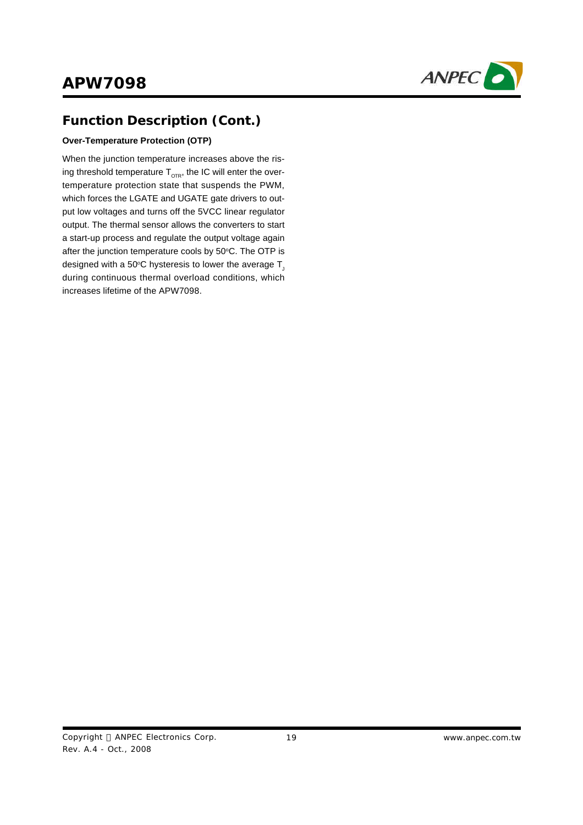

## **Function Description (Cont.)**

#### **Over-Temperature Protection (OTP)**

When the junction temperature increases above the rising threshold temperature  $T_{\text{OR}}$ , the IC will enter the overtemperature protection state that suspends the PWM, which forces the LGATE and UGATE gate drivers to output low voltages and turns off the 5VCC linear regulator output. The thermal sensor allows the converters to start a start-up process and regulate the output voltage again after the junction temperature cools by 50°C. The OTP is designed with a 50°C hysteresis to lower the average  $T_1$ during continuous thermal overload conditions, which increases lifetime of the APW7098.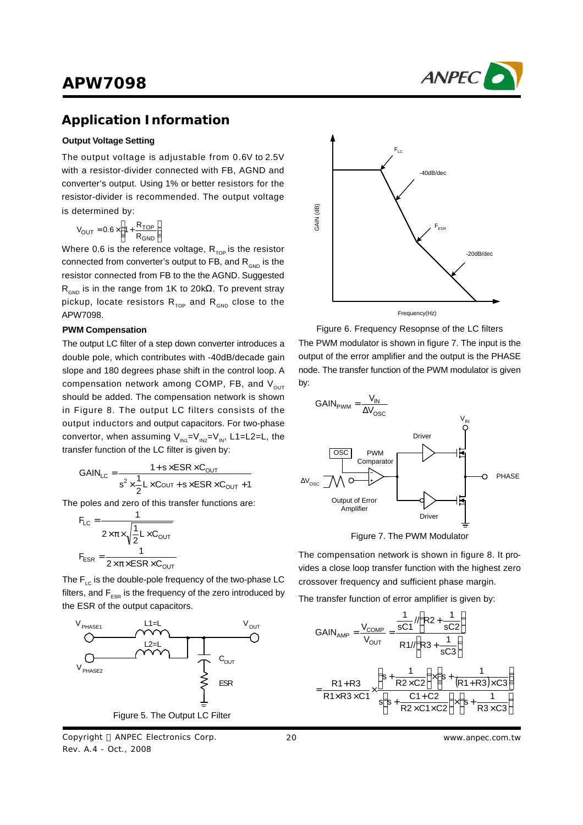

### **Application Information**

#### **Output Voltage Setting**

The output voltage is adjustable from 0.6V to 2.5V with a resistor-divider connected with FB, AGND and converter's output. Using 1% or better resistors for the resistor-divider is recommended. The output voltage is determined by:

$$
V_{OUT} = 0.6 \times \left(1 + \frac{R_{TOP}}{R_{GND}}\right)
$$

Where 0.6 is the reference voltage,  $R_{\text{top}}$  is the resistor connected from converter's output to FB, and  $R_{GND}$  is the resistor connected from FB to the the AGND. Suggested  $R_{GND}$  is in the range from 1K to 20kΩ. To prevent stray pickup, locate resistors  $R_{\text{top}}$  and  $R_{\text{GND}}$  close to the APW7098.

#### **PWM Compensation**

The output LC filter of a step down converter introduces a double pole, which contributes with -40dB/decade gain slope and 180 degrees phase shift in the control loop. A compensation network among COMP, FB, and  $V_{\text{out}}$ should be added. The compensation network is shown in Figure 8. The output LC filters consists of the output inductors and output capacitors. For two-phase convertor, when assuming  $V_{\text{IN1}}=V_{\text{IN2}}=V_{\text{IN}}$ , L1=L2=L, the transfer function of the LC filter is given by:

$$
GAIN_{LC} = \frac{1 + s \times ESR \times C_{OUT}}{s^2 \times \frac{1}{2}L \times C_{OUT} + s \times ESR \times C_{OUT} + 1}
$$

The poles and zero of this transfer functions are:

$$
F_{LC} = \frac{1}{2 \times \pi \times \sqrt{\frac{1}{2} L \times C_{OUT}}}
$$

$$
F_{ESR} = \frac{1}{2 \times \pi \times ESR \times C_{OUT}}
$$

The  $F_{1c}$  is the double-pole frequency of the two-phase LC filters, and  $F_{ESR}$  is the frequency of the zero introduced by the ESR of the output capacitors.



Copyright © ANPEC Electronics Corp. Rev. A.4 - Oct., 2008



Figure 6. Frequency Resopnse of the LC filters The PWM modulator is shown in figure 7. The input is the output of the error amplifier and the output is the PHASE node. The transfer function of the PWM modulator is given by:



Figure 7. The PWM Modulator

The compensation network is shown in figure 8. It provides a close loop transfer function with the highest zero crossover frequency and sufficient phase margin.

The transfer function of error amplifier is given by:

$$
GAIN_{AMP} = \frac{V_{COMP}}{V_{OUT}} = \frac{\frac{1}{sC1} \sqrt{R2 + \frac{1}{sC2}}}{R1/\sqrt{R3 + \frac{1}{sC3}}}
$$

$$
= \frac{R1 + R3}{R1 \times R3 \times C1} \times \frac{\left(s + \frac{1}{R2 \times C2}\right) \times \left(s + \frac{1}{(R1 + R3) \times C3}\right)}{s\left(s + \frac{C1 + C2}{R2 \times C1 \times C2}\right) \times \left(s + \frac{1}{R3 \times C3}\right)}
$$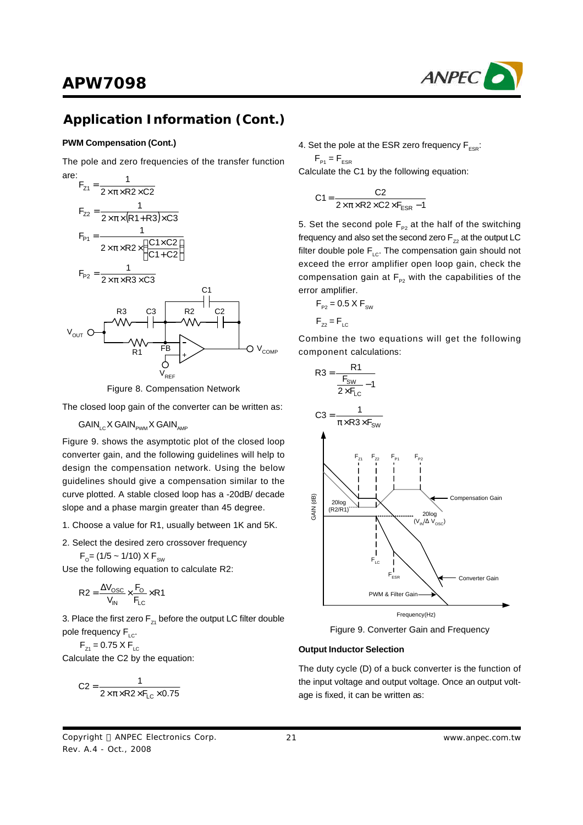## **Application Information (Cont.)**

#### **PWM Compensation (Cont.)**

The pole and zero frequencies of the transfer function are:



Figure 8. Compensation Network

The closed loop gain of the converter can be written as:

 $GAIN_{\scriptscriptstyle{\text{LC}}} X GAIN_{\scriptscriptstyle{\text{PWM}}} X GAIN_{\scriptscriptstyle{\text{AMP}}}$ 

Figure 9. shows the asymptotic plot of the closed loop converter gain, and the following guidelines will help to design the compensation network. Using the below guidelines should give a compensation similar to the curve plotted. A stable closed loop has a -20dB/ decade slope and a phase margin greater than 45 degree.

- 1. Choose a value for R1, usually between 1K and 5K.
- 2. Select the desired zero crossover frequency

$$
F_{o} = (1/5 \sim 1/10) \times F_{sw}
$$

Use the following equation to calculate R2:

$$
R2 = \frac{\Delta V_{\text{OSC}}}{V_{\text{IN}}} \times \frac{F_{\text{O}}}{F_{\text{LC}}} \times R1
$$

3. Place the first zero  $F_{z1}$  before the output LC filter double pole frequency  $F_{LC}$ .

 $F_{71} = 0.75 \times F_{LC}$ Calculate the C2 by the equation:

$$
C2 = \frac{1}{2 \times \pi \times R2 \times F_{LC} \times 0.75}
$$

4. Set the pole at the ESR zero frequency  $F_{ESR}$ :

 $F_{P1} = F_{ESR}$ Calculate the C1 by the following equation:

$$
C1 = \frac{C2}{2 \times \pi \times R2 \times C2 \times F_{ESR} - 1}
$$

5. Set the second pole  $F_{p2}$  at the half of the switching frequency and also set the second zero  $F_{z2}$  at the output LC filter double pole  $F_{LC}$ . The compensation gain should not exceed the error amplifier open loop gain, check the compensation gain at  $F_{\rho_2}$  with the capabilities of the error amplifier.

$$
F_{p_2} = 0.5 \times F_{sw}
$$

 $F_{z2} = F_{\text{LC}}$ 

Combine the two equations will get the following component calculations:



Figure 9. Converter Gain and Frequency

#### **Output Inductor Selection**

The duty cycle (D) of a buck converter is the function of the input voltage and output voltage. Once an output voltage is fixed, it can be written as: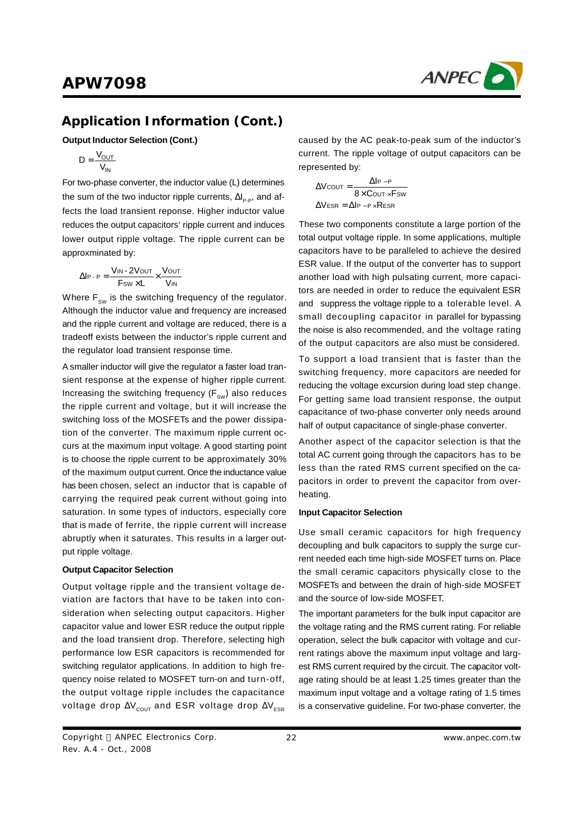

### **Application Information (Cont.)**

**Output Inductor Selection (Cont.)**

$$
D = \frac{V_{OUT}}{V_{IN}}
$$

For two-phase converter, the inductor value (L) determines the sum of the two inductor ripple currents,  $\Delta I_{p.p}$ , and affects the load transient reponse. Higher inductor value reduces the output capacitors' ripple current and induces lower output ripple voltage. The ripple current can be approxminated by:

$$
\Delta I_{P \cdot P} = \frac{V_{IN} \cdot 2V_{OUT}}{F_{SW} \times L} \times \frac{V_{OUT}}{V_{IN}}
$$

Where  $\mathsf{F}_{_{\texttt{SW}}}$  is the switching frequency of the regulator. Although the inductor value and frequency are increased and the ripple current and voltage are reduced, there is a tradeoff exists between the inductor's ripple current and the regulator load transient response time.

A smaller inductor will give the regulator a faster load transient response at the expense of higher ripple current. Increasing the switching frequency ( $\mathsf{F}_{_{\mathsf{SW}}}$ ) also reduces the ripple current and voltage, but it will increase the switching loss of the MOSFETs and the power dissipation of the converter. The maximum ripple current occurs at the maximum input voltage. A good starting point is to choose the ripple current to be approximately 30% of the maximum output current. Once the inductance value has been chosen, select an inductor that is capable of carrying the required peak current without going into saturation. In some types of inductors, especially core that is made of ferrite, the ripple current will increase abruptly when it saturates. This results in a larger output ripple voltage.

#### **Output Capacitor Selection**

Output voltage ripple and the transient voltage deviation are factors that have to be taken into consideration when selecting output capacitors. Higher capacitor value and lower ESR reduce the output ripple and the load transient drop. Therefore, selecting high performance low ESR capacitors is recommended for switching regulator applications. In addition to high frequency noise related to MOSFET turn-on and turn-off, the output voltage ripple includes the capacitance voltage drop  $\Delta V_{\text{couT}}$  and ESR voltage drop  $\Delta V_{\text{ESR}}$ 

caused by the AC peak-to-peak sum of the inductor's current. The ripple voltage of output capacitors can be represented by:

$$
\Delta V_{\text{COUT}} = \frac{\Delta I_{\text{P-P}}}{8 \times \text{Cout} \times \text{Fsw}}
$$

$$
\Delta V_{\text{ESR}} = \Delta I_{\text{P-P}} \times \text{ResR}
$$

These two components constitute a large portion of the total output voltage ripple. In some applications, multiple capacitors have to be paralleled to achieve the desired ESR value. If the output of the converter has to support another load with high pulsating current, more capacitors are needed in order to reduce the equivalent ESR and suppress the voltage ripple to a tolerable level. A small decoupling capacitor in parallel for bypassing the noise is also recommended, and the voltage rating of the output capacitors are also must be considered.

To support a load transient that is faster than the switching frequency, more capacitors are needed for reducing the voltage excursion during load step change. For getting same load transient response, the output capacitance of two-phase converter only needs around half of output capacitance of single-phase converter.

Another aspect of the capacitor selection is that the total AC current going through the capacitors has to be less than the rated RMS current specified on the capacitors in order to prevent the capacitor from overheating.

#### **Input Capacitor Selection**

Use small ceramic capacitors for high frequency decoupling and bulk capacitors to supply the surge current needed each time high-side MOSFET turns on. Place the small ceramic capacitors physically close to the MOSFETs and between the drain of high-side MOSFET and the source of low-side MOSFET.

The important parameters for the bulk input capacitor are the voltage rating and the RMS current rating. For reliable operation, select the bulk capacitor with voltage and current ratings above the maximum input voltage and largest RMS current required by the circuit. The capacitor voltage rating should be at least 1.25 times greater than the maximum input voltage and a voltage rating of 1.5 times is a conservative guideline. For two-phase converter, the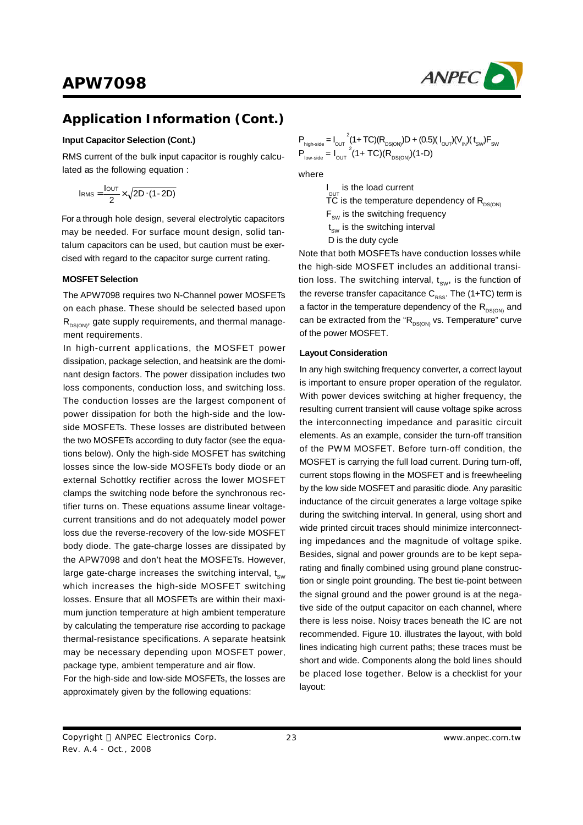

## **Application Information (Cont.)**

#### **Input Capacitor Selection (Cont.)**

RMS current of the bulk input capacitor is roughly calculated as the following equation :

$$
I_{RMS} = \frac{I_{OUT}}{2} \times \sqrt{2D \cdot (1-2D)}
$$

For a through hole design, several electrolytic capacitors may be needed. For surface mount design, solid tantalum capacitors can be used, but caution must be exercised with regard to the capacitor surge current rating.

#### **MOSFETSelection**

The APW7098 requires two N-Channel power MOSFETs on each phase. These should be selected based upon  $R_{DS(ON)}$ , gate supply requirements, and thermal management requirements.

In high-current applications, the MOSFET power dissipation, package selection, and heatsink are the dominant design factors. The power dissipation includes two loss components, conduction loss, and switching loss. The conduction losses are the largest component of power dissipation for both the high-side and the lowside MOSFETs. These losses are distributed between the two MOSFETs according to duty factor (see the equations below). Only the high-side MOSFET has switching losses since the low-side MOSFETs body diode or an external Schottky rectifier across the lower MOSFET clamps the switching node before the synchronous rectifier turns on. These equations assume linear voltagecurrent transitions and do not adequately model power loss due the reverse-recovery of the low-side MOSFET body diode. The gate-charge losses are dissipated by the APW7098 and don't heat the MOSFETs. However, large gate-charge increases the switching interval,  $t_{sw}$ which increases the high-side MOSFET switching losses. Ensure that all MOSFETs are within their maximum junction temperature at high ambient temperature by calculating the temperature rise according to package thermal-resistance specifications. A separate heatsink may be necessary depending upon MOSFET power, package type, ambient temperature and air flow.

For the high-side and low-side MOSFETs, the losses are approximately given by the following equations:

$$
P_{\text{high-side}} = I_{\text{OUT}}^{2} (1+TC)(R_{\text{DS}(\text{ON})})D + (0.5)(I_{\text{OUT}})(V_{\text{IN}})(t_{\text{SW}})F_{\text{SW}}
$$

$$
P_{\text{low-side}} = I_{\text{OUT}}^{2} (1+TC)(R_{\text{DS}(\text{ON})})(1-D)
$$

where

I is the load current

 $\rm{C}^{\rm{OUT}}$  is the temperature dependency of  $\rm{R_{\rm{DS(ON)}}}$ 

 $F_{sw}$  is the switching frequency

 $\mathfrak{t}_{\text{sw}}$  is the switching interval

D is the duty cycle

Note that both MOSFETs have conduction losses while the high-side MOSFET includes an additional transition loss. The switching interval,  $t_{\text{sw}}$ , is the function of the reverse transfer capacitance  $C_{\rm RSS}$ . The (1+TC) term is a factor in the temperature dependency of the  $R_{DS(ON)}$  and can be extracted from the " $R_{DS(ON)}$  vs. Temperature" curve of the power MOSFET.

#### **Layout Consideration**

In any high switching frequency converter, a correct layout is important to ensure proper operation of the regulator. With power devices switching at higher frequency, the resulting current transient will cause voltage spike across the interconnecting impedance and parasitic circuit elements. As an example, consider the turn-off transition of the PWM MOSFET. Before turn-off condition, the MOSFET is carrying the full load current. During turn-off, current stops flowing in the MOSFET and is freewheeling by the low side MOSFET and parasitic diode. Any parasitic inductance of the circuit generates a large voltage spike during the switching interval. In general, using short and wide printed circuit traces should minimize interconnecting impedances and the magnitude of voltage spike. Besides, signal and power grounds are to be kept separating and finally combined using ground plane construction or single point grounding. The best tie-point between the signal ground and the power ground is at the negative side of the output capacitor on each channel, where there is less noise. Noisy traces beneath the IC are not recommended. Figure 10. illustrates the layout, with bold lines indicating high current paths; these traces must be short and wide. Components along the bold lines should be placed lose together. Below is a checklist for your layout:

Copyright © ANPEC Electronics Corp. Rev. A.4 - Oct., 2008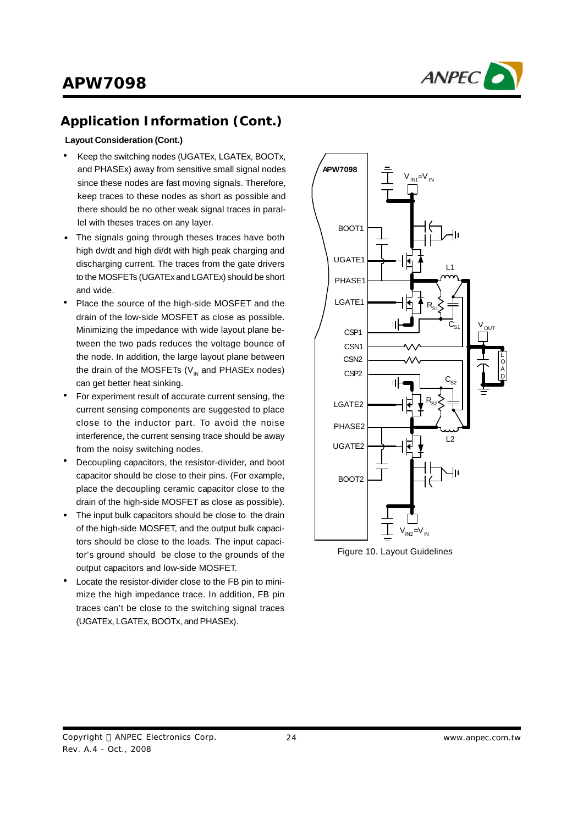

## **Application Information (Cont.)**

#### **Layout Consideration (Cont.)**

- Keep the switching nodes (UGATEx, LGATEx, BOOTx, and PHASEx) away from sensitive small signal nodes since these nodes are fast moving signals. Therefore, keep traces to these nodes as short as possible and there should be no other weak signal traces in parallel with theses traces on any layer.
- The signals going through theses traces have both high dv/dt and high di/dt with high peak charging and discharging current. The traces from the gate drivers to the MOSFETs (UGATEx and LGATEx) should be short and wide.
- Place the source of the high-side MOSFET and the drain of the low-side MOSFET as close as possible. Minimizing the impedance with wide layout plane between the two pads reduces the voltage bounce of the node. In addition, the large layout plane between the drain of the MOSFETs (V $_{\textrm{\tiny{IN}}}$  and PHASEx nodes) can get better heat sinking. •
- For experiment result of accurate current sensing, the current sensing components are suggested to place close to the inductor part. To avoid the noise interference, the current sensing trace should be away from the noisy switching nodes. •
- Decoupling capacitors, the resistor-divider, and boot capacitor should be close to their pins. (For example, place the decoupling ceramic capacitor close to the drain of the high-side MOSFET as close as possible). •
- The input bulk capacitors should be close to the drain of the high-side MOSFET, and the output bulk capacitors should be close to the loads. The input capacitor's ground should be close to the grounds of the output capacitors and low-side MOSFET. •
- Locate the resistor-divider close to the FB pin to minimize the high impedance trace. In addition, FB pin traces can't be close to the switching signal traces (UGATEx, LGATEx, BOOTx, and PHASEx). •



Figure 10. Layout Guidelines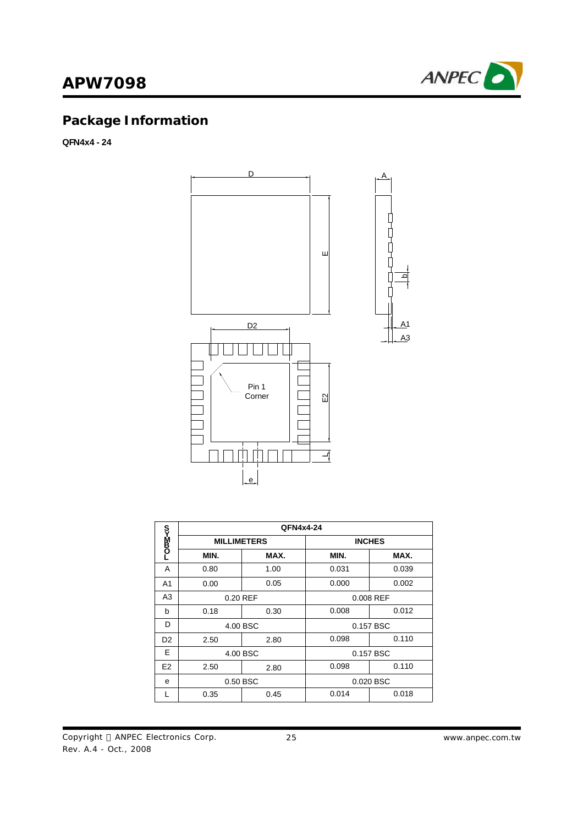

# **Package Information**

**QFN4x4 - 24**



|                | QFN4x4-24          |      |               |       |  |
|----------------|--------------------|------|---------------|-------|--|
| r>Max          | <b>MILLIMETERS</b> |      | <b>INCHES</b> |       |  |
|                | MIN.               | MAX. | MIN.          | MAX.  |  |
| A              | 0.80               | 1.00 | 0.031         | 0.039 |  |
| A <sub>1</sub> | 0.00               | 0.05 | 0.000         | 0.002 |  |
| A <sub>3</sub> | 0.20 REF           |      | 0.008 REF     |       |  |
| b              | 0.18               | 0.30 | 0.008         | 0.012 |  |
| D              | 4.00 BSC           |      | 0.157 BSC     |       |  |
| D <sub>2</sub> | 2.50               | 2.80 | 0.098         | 0.110 |  |
| E              | 4.00 BSC           |      | 0.157 BSC     |       |  |
| E <sub>2</sub> | 2.50               | 2.80 | 0.098         | 0.110 |  |
| e              | 0.50 BSC           |      | 0.020 BSC     |       |  |
|                | 0.35               | 0.45 | 0.014         | 0.018 |  |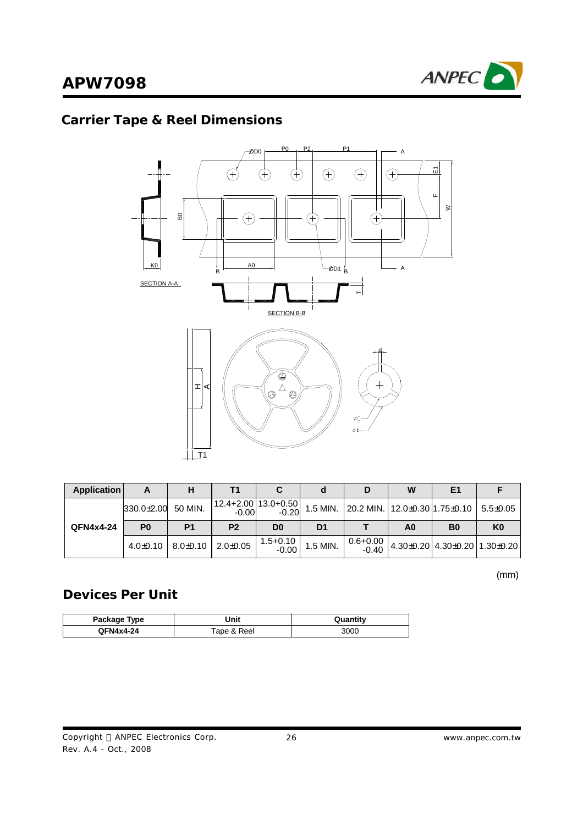

# **Carrier Tape & Reel Dimensions**



| Application |                |                             | Τ1             |                                |                | D | W  | E <sub>1</sub>                                                                                     |                |
|-------------|----------------|-----------------------------|----------------|--------------------------------|----------------|---|----|----------------------------------------------------------------------------------------------------|----------------|
|             | $330.0 + 2.00$ | 50 MIN.                     | $-0.00$        | 12.4+2.00 13.0+0.50<br>$-0.20$ |                |   |    | 1.5 MIN. 20.2 MIN. 12.0±0.30 1.75±0.10   5.5±0.05                                                  |                |
| QFN4x4-24   | P <sub>0</sub> | P <sub>1</sub>              | P <sub>2</sub> | D <sub>0</sub>                 | D <sub>1</sub> |   | A0 | <b>B0</b>                                                                                          | K <sub>0</sub> |
|             |                | $4.0\pm0.10$   $8.0\pm0.10$ | $2.0 + 0.05$   | $1.5 + 0.10$<br>$-0.00$        | 1.5 MIN.       |   |    | $\begin{array}{c c c c c} 0.6+0.00 & 4.30 \pm 0.20 & 4.30 \pm 0.20 & 1.30 \pm 0.20 \\ \end{array}$ |                |

(mm)

## **Devices Per Unit**

| Package Type | Unit        | Quantity |
|--------------|-------------|----------|
| QFN4x4-24    | ™ape & Reel | 3000     |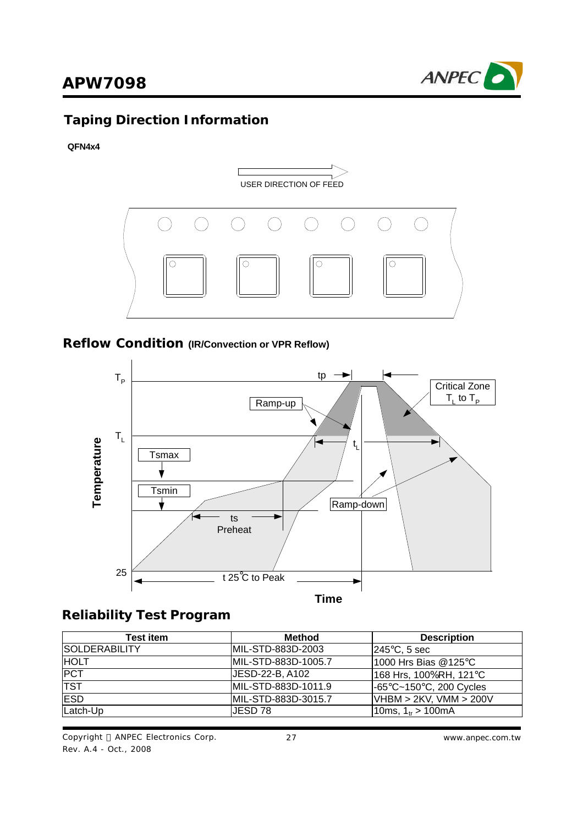

# **Taping Direction Information**

#### **QFN4x4**



### **Reflow Condition (IR/Convection or VPR Reflow)**



### **Reliability Test Program**

| <b>Test item</b>      | Method               | <b>Description</b>      |  |
|-----------------------|----------------------|-------------------------|--|
| <b>ISOLDERABILITY</b> | MIL-STD-883D-2003    | $ 245^{\circ}$ C, 5 sec |  |
| <b>HOLT</b>           | IMIL-STD-883D-1005.7 | 1000 Hrs Bias @125°C    |  |
| <b>PCT</b>            | JESD-22-B, A102      | 168 Hrs, 100%RH, 121°C  |  |
| <b>TST</b>            | MIL-STD-883D-1011.9  | -65°C~150°C, 200 Cycles |  |
| <b>ESD</b>            | IMIL-STD-883D-3015.7 | VHBM > 2KV, VMM > 200V  |  |
| Latch-Up              | JESD 78              | 10ms, $1_{ir}$ > 100mA  |  |

Copyright © ANPEC Electronics Corp. Rev. A.4 - Oct., 2008

27 *www.anpec.com.tw*